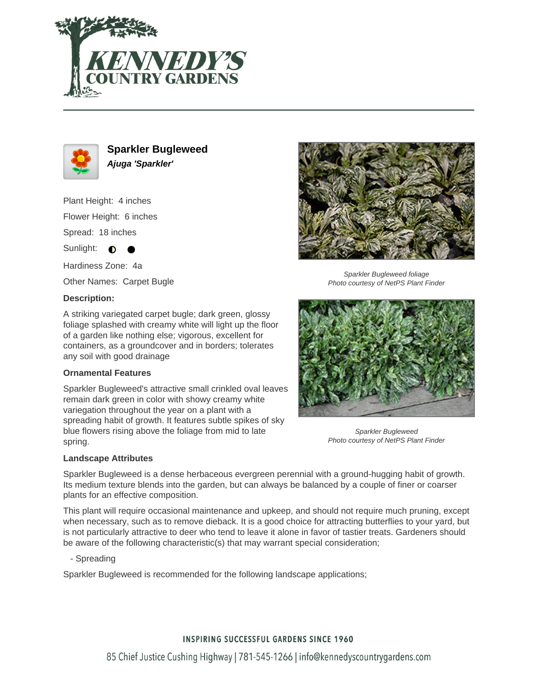



**Sparkler Bugleweed Ajuga 'Sparkler'**

Plant Height: 4 inches Flower Height: 6 inches Spread: 18 inches Sunlight:  $\bullet$ 

Hardiness Zone: 4a

Other Names: Carpet Bugle

### **Description:**

A striking variegated carpet bugle; dark green, glossy foliage splashed with creamy white will light up the floor of a garden like nothing else; vigorous, excellent for containers, as a groundcover and in borders; tolerates any soil with good drainage

#### **Ornamental Features**

Sparkler Bugleweed's attractive small crinkled oval leaves remain dark green in color with showy creamy white variegation throughout the year on a plant with a spreading habit of growth. It features subtle spikes of sky blue flowers rising above the foliage from mid to late spring.



Sparkler Bugleweed foliage Photo courtesy of NetPS Plant Finder



Sparkler Bugleweed Photo courtesy of NetPS Plant Finder

#### **Landscape Attributes**

Sparkler Bugleweed is a dense herbaceous evergreen perennial with a ground-hugging habit of growth. Its medium texture blends into the garden, but can always be balanced by a couple of finer or coarser plants for an effective composition.

This plant will require occasional maintenance and upkeep, and should not require much pruning, except when necessary, such as to remove dieback. It is a good choice for attracting butterflies to your yard, but is not particularly attractive to deer who tend to leave it alone in favor of tastier treats. Gardeners should be aware of the following characteristic(s) that may warrant special consideration;

- Spreading

Sparkler Bugleweed is recommended for the following landscape applications;

## **INSPIRING SUCCESSFUL GARDENS SINCE 1960**

85 Chief Justice Cushing Highway | 781-545-1266 | info@kennedyscountrygardens.com